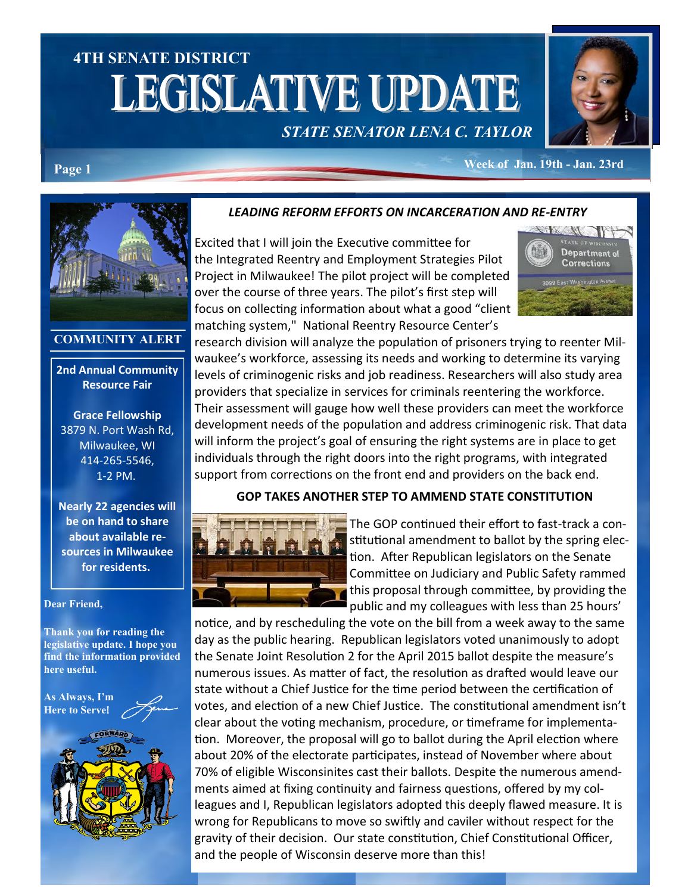# **4TH SENATE DISTRICT LEGISLATIVE UPDATE**

# *STATE SENATOR LENA C. TAYLOR*



#### **Week of Jan. 19th - Jan. 23rd Page 1**



#### **COMMUNITY ALERT**

**2nd Annual Community Resource Fair** 

**Grace Fellowship**  3879 N. Port Wash Rd, Milwaukee, WI 414-265-5546, 1-2 PM.

**Nearly 22 agencies will be on hand to share about available resources in Milwaukee for residents.**

#### **Dear Friend,**

**Thank you for reading the legislative update. I hope you find the information provided here useful.**

**As Always, I'm Here to Serve**!



#### *LEADING REFORM EFFORTS ON INCARCERATION AND RE-ENTRY*

Excited that I will join the Executive committee for the Integrated Reentry and Employment Strategies Pilot Project in Milwaukee! The pilot project will be completed over the course of three years. The pilot's first step will focus on collecting information about what a good "client matching system," National Reentry Resource Center's



research division will analyze the population of prisoners trying to reenter Milwaukee's workforce, assessing its needs and working to determine its varying levels of criminogenic risks and job readiness. Researchers will also study area providers that specialize in services for criminals reentering the workforce. Their assessment will gauge how well these providers can meet the workforce development needs of the population and address criminogenic risk. That data will inform the project's goal of ensuring the right systems are in place to get individuals through the right doors into the right programs, with integrated support from corrections on the front end and providers on the back end.

#### **GOP TAKES ANOTHER STEP TO AMMEND STATE CONSTITUTION**



The GOP continued their effort to fast-track a constitutional amendment to ballot by the spring election. After Republican legislators on the Senate Committee on Judiciary and Public Safety rammed this proposal through committee, by providing the public and my colleagues with less than 25 hours'

notice, and by rescheduling the vote on the bill from a week away to the same day as the public hearing. Republican legislators voted unanimously to adopt the Senate Joint Resolution 2 for the April 2015 ballot despite the measure's numerous issues. As matter of fact, the resolution as drafted would leave our state without a Chief Justice for the time period between the certification of votes, and election of a new Chief Justice. The constitutional amendment isn't clear about the voting mechanism, procedure, or timeframe for implementation. Moreover, the proposal will go to ballot during the April election where about 20% of the electorate participates, instead of November where about 70% of eligible Wisconsinites cast their ballots. Despite the numerous amendments aimed at fixing continuity and fairness questions, offered by my colleagues and I, Republican legislators adopted this deeply flawed measure. It is wrong for Republicans to move so swiftly and caviler without respect for the gravity of their decision. Our state constitution, Chief Constitutional Officer, and the people of Wisconsin deserve more than this!